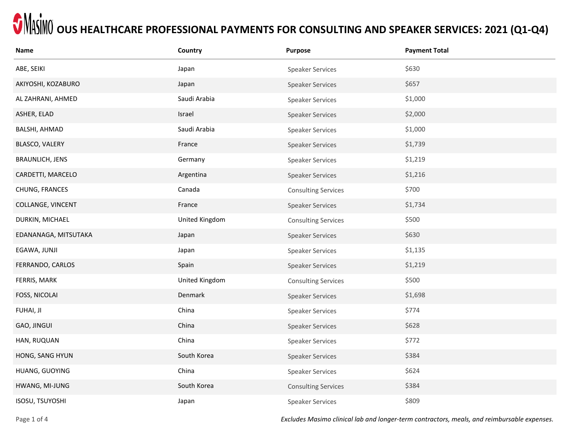| Name                   | Country        | <b>Purpose</b>             | <b>Payment Total</b> |
|------------------------|----------------|----------------------------|----------------------|
| ABE, SEIKI             | Japan          | <b>Speaker Services</b>    | \$630                |
| AKIYOSHI, KOZABURO     | Japan          | <b>Speaker Services</b>    | \$657                |
| AL ZAHRANI, AHMED      | Saudi Arabia   | <b>Speaker Services</b>    | \$1,000              |
| ASHER, ELAD            | Israel         | Speaker Services           | \$2,000              |
| BALSHI, AHMAD          | Saudi Arabia   | Speaker Services           | \$1,000              |
| BLASCO, VALERY         | France         | Speaker Services           | \$1,739              |
| <b>BRAUNLICH, JENS</b> | Germany        | <b>Speaker Services</b>    | \$1,219              |
| CARDETTI, MARCELO      | Argentina      | <b>Speaker Services</b>    | \$1,216              |
| CHUNG, FRANCES         | Canada         | <b>Consulting Services</b> | \$700                |
| COLLANGE, VINCENT      | France         | <b>Speaker Services</b>    | \$1,734              |
| DURKIN, MICHAEL        | United Kingdom | <b>Consulting Services</b> | \$500                |
| EDANANAGA, MITSUTAKA   | Japan          | <b>Speaker Services</b>    | \$630                |
| EGAWA, JUNJI           | Japan          | <b>Speaker Services</b>    | \$1,135              |
| FERRANDO, CARLOS       | Spain          | <b>Speaker Services</b>    | \$1,219              |
| FERRIS, MARK           | United Kingdom | <b>Consulting Services</b> | \$500                |
| FOSS, NICOLAI          | Denmark        | <b>Speaker Services</b>    | \$1,698              |
| FUHAI, JI              | China          | <b>Speaker Services</b>    | \$774                |
| GAO, JINGUI            | China          | <b>Speaker Services</b>    | \$628                |
| HAN, RUQUAN            | China          | <b>Speaker Services</b>    | \$772                |
| HONG, SANG HYUN        | South Korea    | <b>Speaker Services</b>    | \$384                |
| HUANG, GUOYING         | China          | <b>Speaker Services</b>    | \$624                |
| HWANG, MI-JUNG         | South Korea    | <b>Consulting Services</b> | \$384                |
| ISOSU, TSUYOSHI        | Japan          | <b>Speaker Services</b>    | \$809                |

Page 1 of 4 *Excludes Masimo clinical lab and longer-term contractors, meals, and reimbursable expenses.*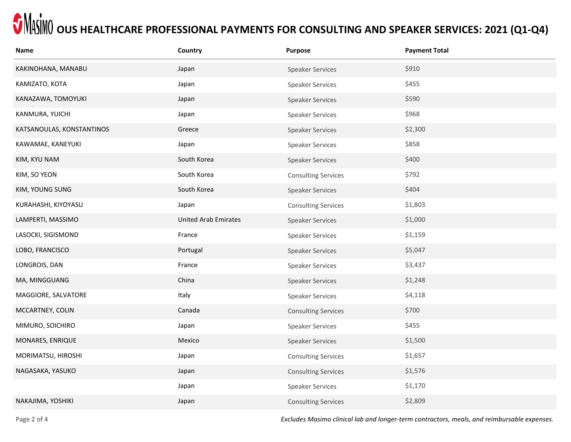| Name                      | Country                     | Purpose                    | <b>Payment Total</b> |
|---------------------------|-----------------------------|----------------------------|----------------------|
| KAKINOHANA, MANABU        | Japan                       | <b>Speaker Services</b>    | \$910                |
| KAMIZATO, KOTA            | Japan                       | <b>Speaker Services</b>    | \$455                |
| KANAZAWA, TOMOYUKI        | Japan                       | <b>Speaker Services</b>    | \$590                |
| KANMURA, YUICHI           | Japan                       | Speaker Services           | \$968                |
| KATSANOULAS, KONSTANTINOS | Greece                      | <b>Speaker Services</b>    | \$2,300              |
| KAWAMAE, KANEYUKI         | Japan                       | Speaker Services           | \$858                |
| KIM, KYU NAM              | South Korea                 | <b>Speaker Services</b>    | \$400                |
| KIM, SO YEON              | South Korea                 | <b>Consulting Services</b> | \$792                |
| KIM, YOUNG SUNG           | South Korea                 | <b>Speaker Services</b>    | \$404                |
| KURAHASHI, KIYOYASU       | Japan                       | <b>Consulting Services</b> | \$1,803              |
| LAMPERTI, MASSIMO         | <b>United Arab Emirates</b> | <b>Speaker Services</b>    | \$1,000              |
| LASOCKI, SIGISMOND        | France                      | <b>Speaker Services</b>    | \$1,159              |
| LOBO, FRANCISCO           | Portugal                    | <b>Speaker Services</b>    | \$5,047              |
| LONGROIS, DAN             | France                      | Speaker Services           | \$3,437              |
| MA, MINGGUANG             | China                       | <b>Speaker Services</b>    | \$1,248              |
| MAGGIORE, SALVATORE       | Italy                       | <b>Speaker Services</b>    | \$4,118              |
| MCCARTNEY, COLIN          | Canada                      | <b>Consulting Services</b> | \$700                |
| MIMURO, SOICHIRO          | Japan                       | <b>Speaker Services</b>    | \$455                |
| MONARES, ENRIQUE          | Mexico                      | <b>Speaker Services</b>    | \$1,500              |
| MORIMATSU, HIROSHI        | Japan                       | <b>Consulting Services</b> | \$1,657              |
| NAGASAKA, YASUKO          | Japan                       | <b>Consulting Services</b> | \$1,576              |
|                           | Japan                       | <b>Speaker Services</b>    | \$1,170              |
| NAKAJIMA, YOSHIKI         | Japan                       | <b>Consulting Services</b> | \$2,809              |

Page 2 of 4 *Excludes Masimo clinical lab and longer-term contractors, meals, and reimbursable expenses.*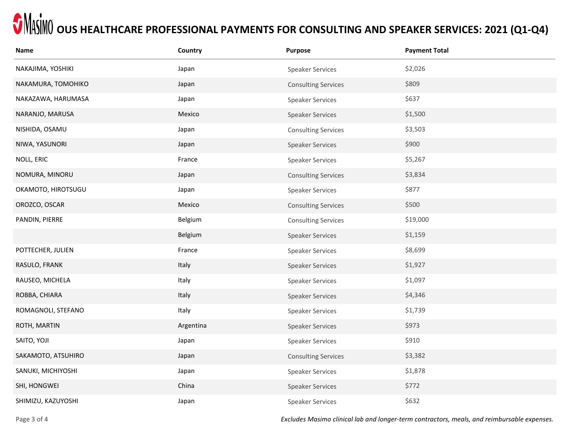| Name               | Country   | <b>Purpose</b>             | <b>Payment Total</b> |
|--------------------|-----------|----------------------------|----------------------|
| NAKAJIMA, YOSHIKI  | Japan     | <b>Speaker Services</b>    | \$2,026              |
| NAKAMURA, TOMOHIKO | Japan     | <b>Consulting Services</b> | \$809                |
| NAKAZAWA, HARUMASA | Japan     | <b>Speaker Services</b>    | \$637                |
| NARANJO, MARUSA    | Mexico    | Speaker Services           | \$1,500              |
| NISHIDA, OSAMU     | Japan     | <b>Consulting Services</b> | \$3,503              |
| NIWA, YASUNORI     | Japan     | <b>Speaker Services</b>    | \$900                |
| NOLL, ERIC         | France    | Speaker Services           | \$5,267              |
| NOMURA, MINORU     | Japan     | <b>Consulting Services</b> | \$3,834              |
| OKAMOTO, HIROTSUGU | Japan     | <b>Speaker Services</b>    | \$877                |
| OROZCO, OSCAR      | Mexico    | <b>Consulting Services</b> | \$500                |
| PANDIN, PIERRE     | Belgium   | <b>Consulting Services</b> | \$19,000             |
|                    | Belgium   | <b>Speaker Services</b>    | \$1,159              |
| POTTECHER, JULIEN  | France    | <b>Speaker Services</b>    | \$8,699              |
| RASULO, FRANK      | Italy     | <b>Speaker Services</b>    | \$1,927              |
| RAUSEO, MICHELA    | Italy     | <b>Speaker Services</b>    | \$1,097              |
| ROBBA, CHIARA      | Italy     | <b>Speaker Services</b>    | \$4,346              |
| ROMAGNOLI, STEFANO | Italy     | <b>Speaker Services</b>    | \$1,739              |
| ROTH, MARTIN       | Argentina | <b>Speaker Services</b>    | \$973                |
| SAITO, YOJI        | Japan     | <b>Speaker Services</b>    | \$910                |
| SAKAMOTO, ATSUHIRO | Japan     | <b>Consulting Services</b> | \$3,382              |
| SANUKI, MICHIYOSHI | Japan     | <b>Speaker Services</b>    | \$1,878              |
| SHI, HONGWEI       | China     | <b>Speaker Services</b>    | \$772                |
| SHIMIZU, KAZUYOSHI | Japan     | <b>Speaker Services</b>    | \$632                |

Page 3 of 4 *Excludes Masimo clinical lab and longer-term contractors, meals, and reimbursable expenses.*